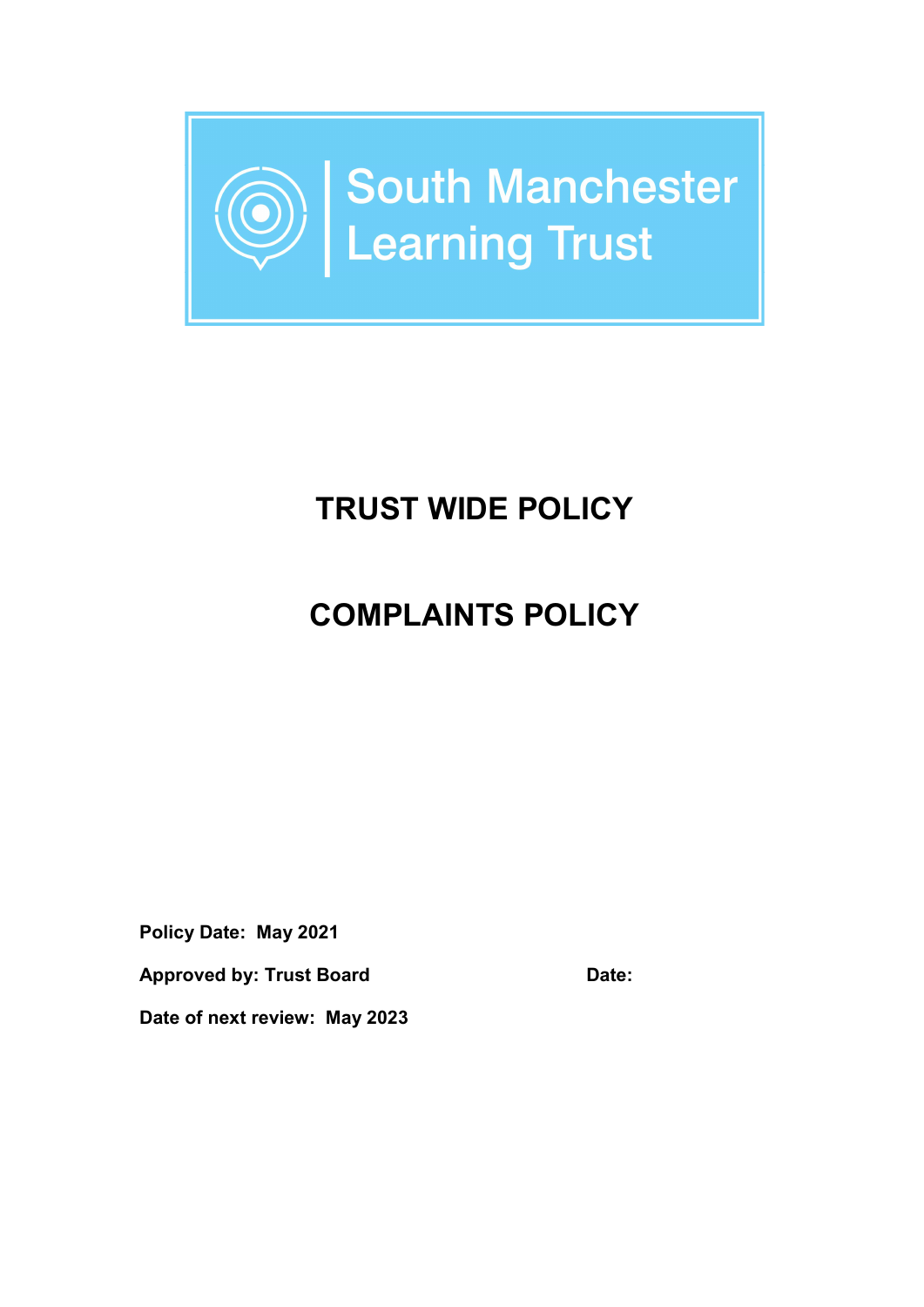

# TRUST WIDE POLICY

# COMPLAINTS POLICY

Policy Date: May 2021

Approved by: Trust Board Date:

Date of next review: May 2023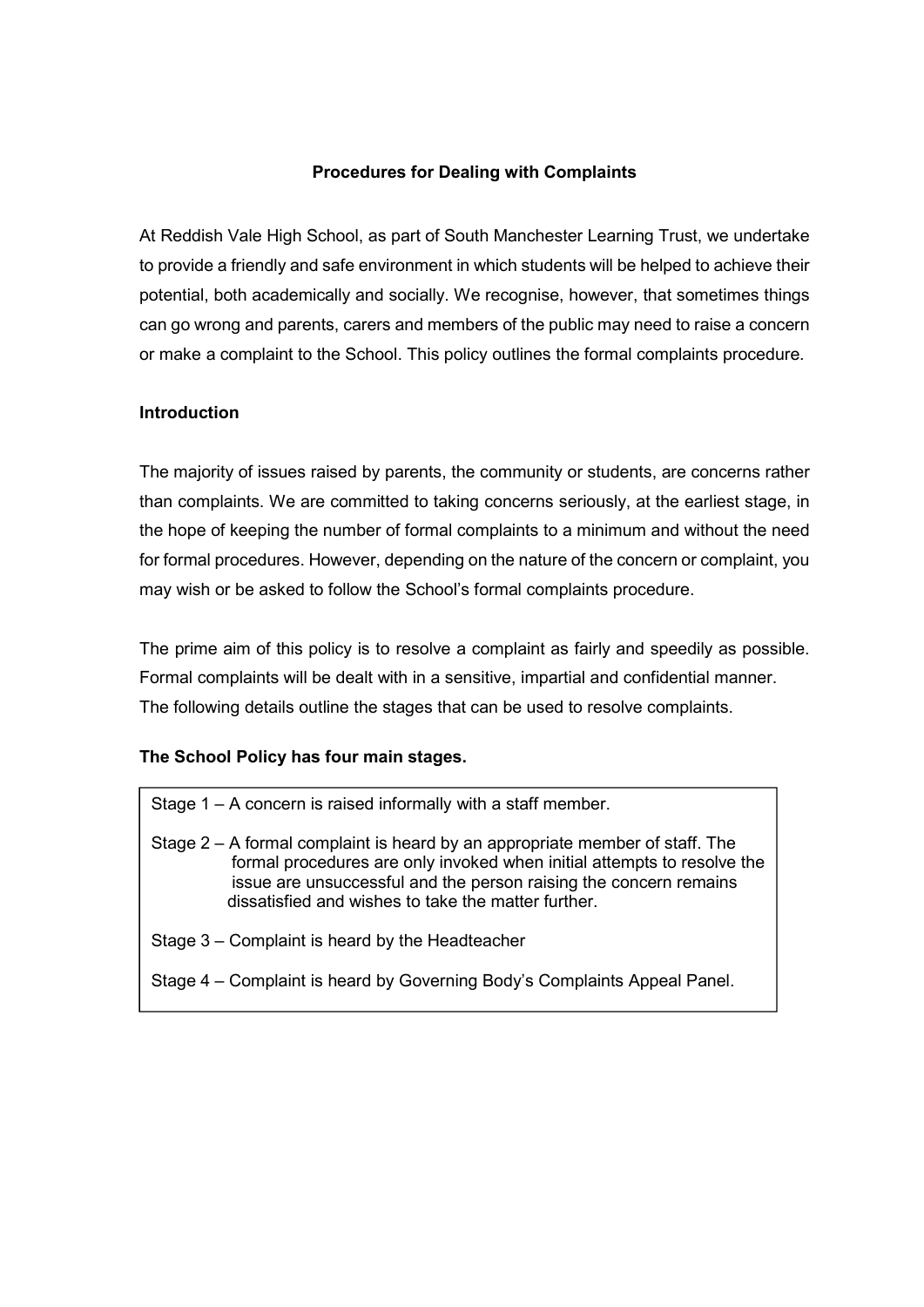#### Procedures for Dealing with Complaints

At Reddish Vale High School, as part of South Manchester Learning Trust, we undertake to provide a friendly and safe environment in which students will be helped to achieve their potential, both academically and socially. We recognise, however, that sometimes things can go wrong and parents, carers and members of the public may need to raise a concern or make a complaint to the School. This policy outlines the formal complaints procedure.

#### Introduction

The majority of issues raised by parents, the community or students, are concerns rather than complaints. We are committed to taking concerns seriously, at the earliest stage, in the hope of keeping the number of formal complaints to a minimum and without the need for formal procedures. However, depending on the nature of the concern or complaint, you may wish or be asked to follow the School's formal complaints procedure.

The prime aim of this policy is to resolve a complaint as fairly and speedily as possible. Formal complaints will be dealt with in a sensitive, impartial and confidential manner. The following details outline the stages that can be used to resolve complaints.

#### The School Policy has four main stages.

- Stage 1 A concern is raised informally with a staff member.
- Stage 2 A formal complaint is heard by an appropriate member of staff. The formal procedures are only invoked when initial attempts to resolve the issue are unsuccessful and the person raising the concern remains dissatisfied and wishes to take the matter further.
- Stage 3 Complaint is heard by the Headteacher
- Stage 4 Complaint is heard by Governing Body's Complaints Appeal Panel.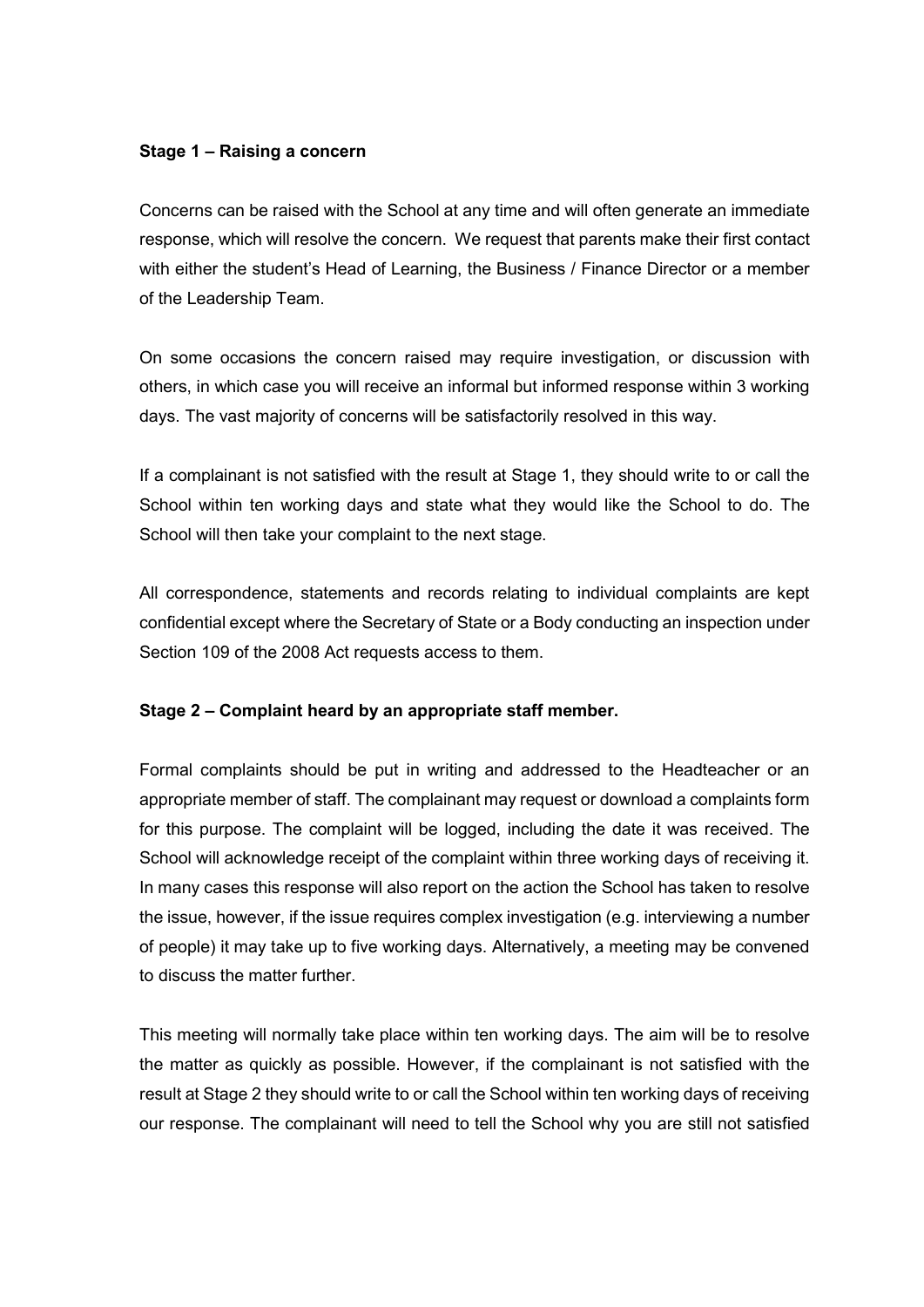#### Stage 1 – Raising a concern

Concerns can be raised with the School at any time and will often generate an immediate response, which will resolve the concern. We request that parents make their first contact with either the student's Head of Learning, the Business / Finance Director or a member of the Leadership Team.

On some occasions the concern raised may require investigation, or discussion with others, in which case you will receive an informal but informed response within 3 working days. The vast majority of concerns will be satisfactorily resolved in this way.

If a complainant is not satisfied with the result at Stage 1, they should write to or call the School within ten working days and state what they would like the School to do. The School will then take your complaint to the next stage.

All correspondence, statements and records relating to individual complaints are kept confidential except where the Secretary of State or a Body conducting an inspection under Section 109 of the 2008 Act requests access to them.

#### Stage 2 – Complaint heard by an appropriate staff member.

Formal complaints should be put in writing and addressed to the Headteacher or an appropriate member of staff. The complainant may request or download a complaints form for this purpose. The complaint will be logged, including the date it was received. The School will acknowledge receipt of the complaint within three working days of receiving it. In many cases this response will also report on the action the School has taken to resolve the issue, however, if the issue requires complex investigation (e.g. interviewing a number of people) it may take up to five working days. Alternatively, a meeting may be convened to discuss the matter further.

This meeting will normally take place within ten working days. The aim will be to resolve the matter as quickly as possible. However, if the complainant is not satisfied with the result at Stage 2 they should write to or call the School within ten working days of receiving our response. The complainant will need to tell the School why you are still not satisfied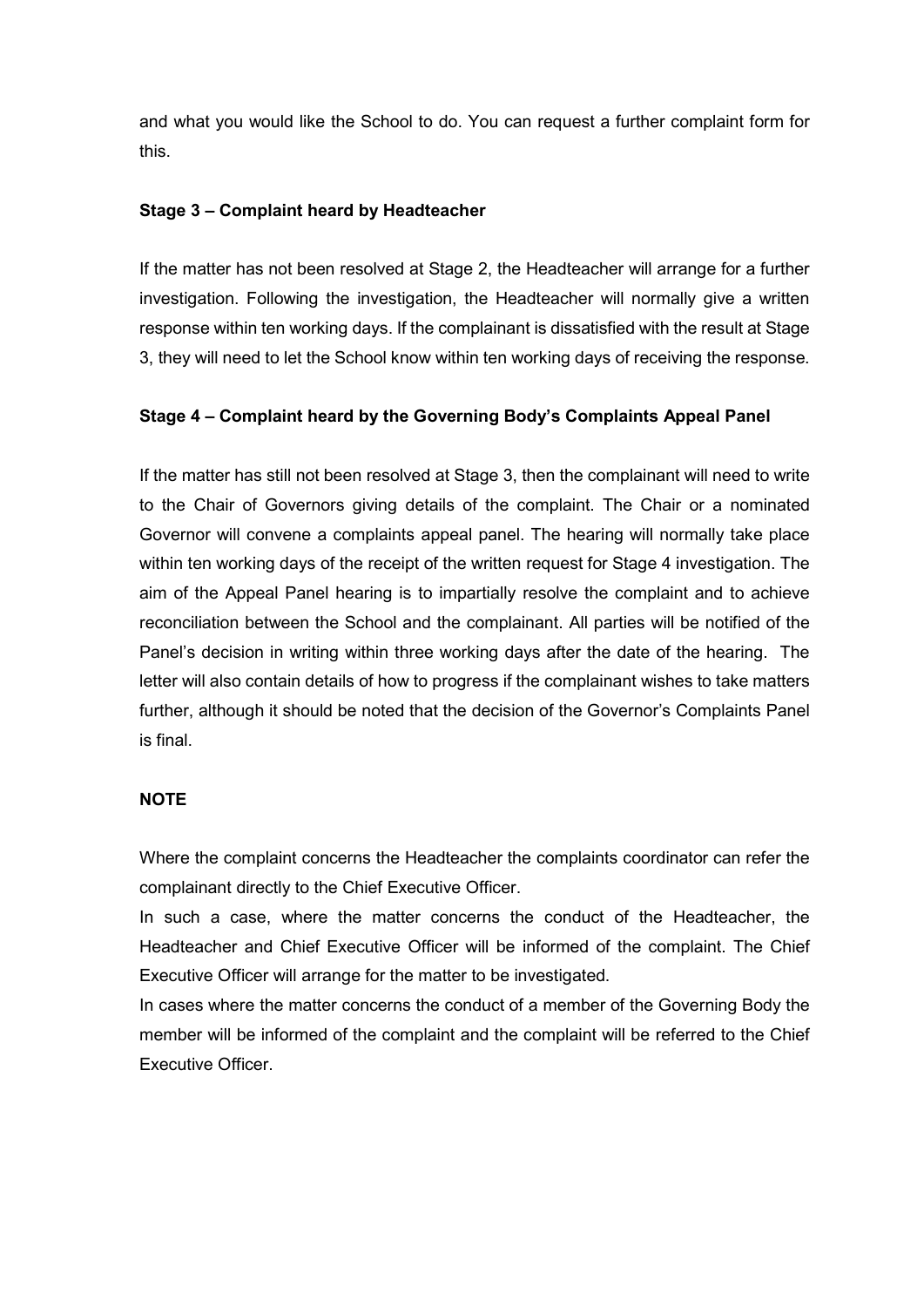and what you would like the School to do. You can request a further complaint form for this.

#### Stage 3 – Complaint heard by Headteacher

If the matter has not been resolved at Stage 2, the Headteacher will arrange for a further investigation. Following the investigation, the Headteacher will normally give a written response within ten working days. If the complainant is dissatisfied with the result at Stage 3, they will need to let the School know within ten working days of receiving the response.

#### Stage 4 – Complaint heard by the Governing Body's Complaints Appeal Panel

If the matter has still not been resolved at Stage 3, then the complainant will need to write to the Chair of Governors giving details of the complaint. The Chair or a nominated Governor will convene a complaints appeal panel. The hearing will normally take place within ten working days of the receipt of the written request for Stage 4 investigation. The aim of the Appeal Panel hearing is to impartially resolve the complaint and to achieve reconciliation between the School and the complainant. All parties will be notified of the Panel's decision in writing within three working days after the date of the hearing. The letter will also contain details of how to progress if the complainant wishes to take matters further, although it should be noted that the decision of the Governor's Complaints Panel is final.

#### **NOTE**

Where the complaint concerns the Headteacher the complaints coordinator can refer the complainant directly to the Chief Executive Officer.

In such a case, where the matter concerns the conduct of the Headteacher, the Headteacher and Chief Executive Officer will be informed of the complaint. The Chief Executive Officer will arrange for the matter to be investigated.

In cases where the matter concerns the conduct of a member of the Governing Body the member will be informed of the complaint and the complaint will be referred to the Chief Executive Officer.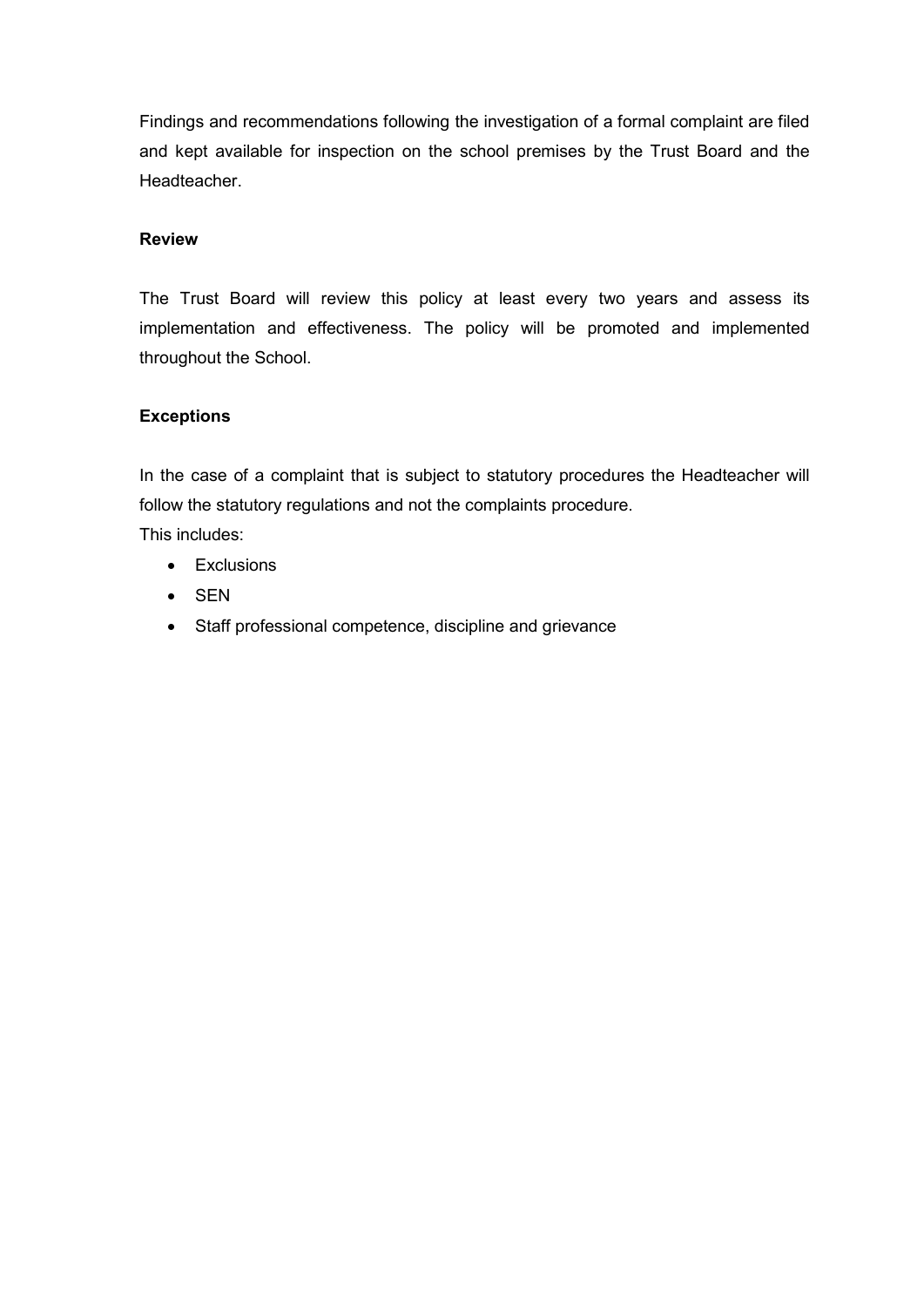Findings and recommendations following the investigation of a formal complaint are filed and kept available for inspection on the school premises by the Trust Board and the Headteacher.

#### Review

The Trust Board will review this policy at least every two years and assess its implementation and effectiveness. The policy will be promoted and implemented throughout the School.

# **Exceptions**

In the case of a complaint that is subject to statutory procedures the Headteacher will follow the statutory regulations and not the complaints procedure. This includes:

- Exclusions
- SEN
- Staff professional competence, discipline and grievance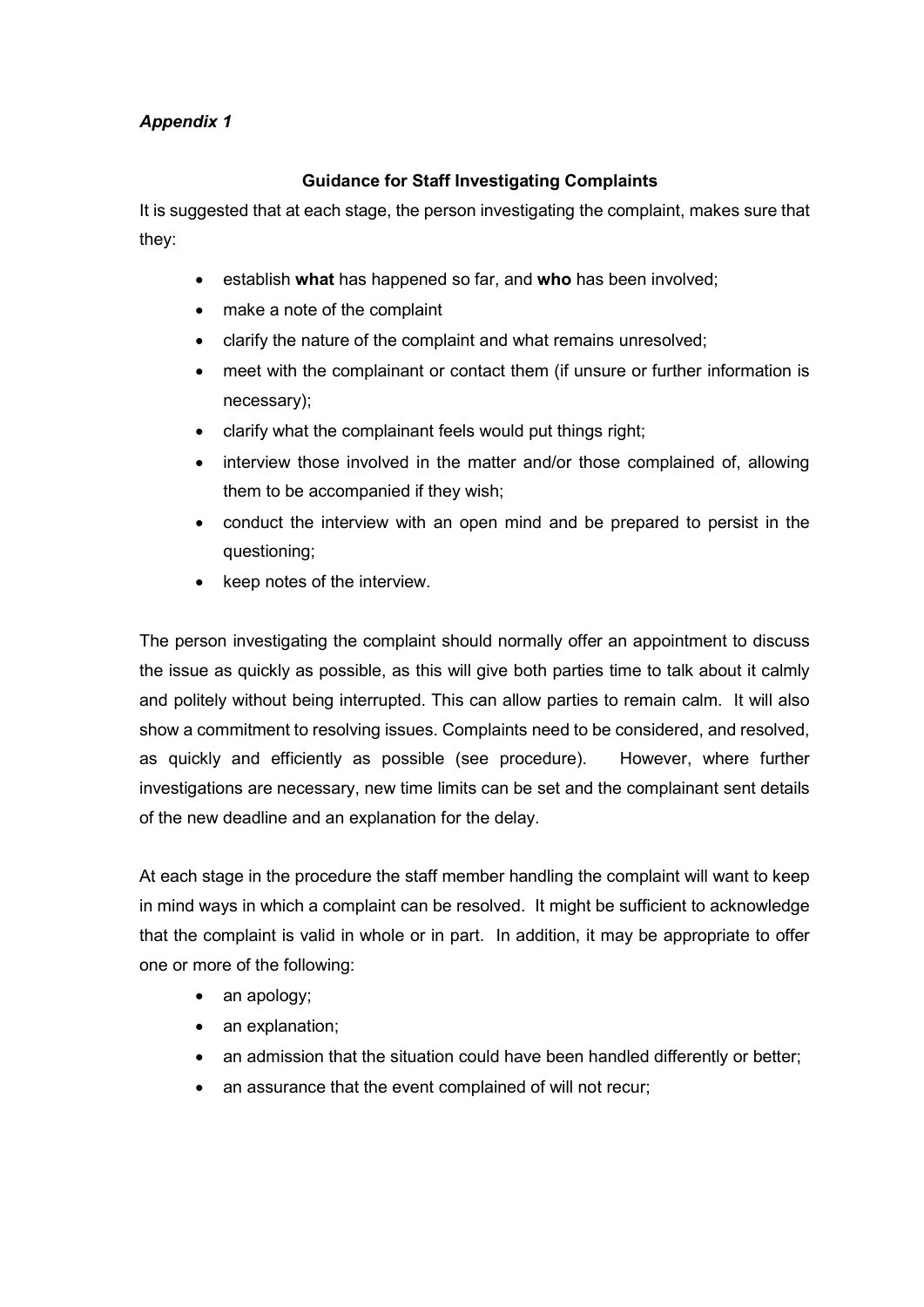# Appendix 1

# Guidance for Staff Investigating Complaints

It is suggested that at each stage, the person investigating the complaint, makes sure that they:

- **e** establish what has happened so far, and who has been involved;
- make a note of the complaint
- clarify the nature of the complaint and what remains unresolved;
- meet with the complainant or contact them (if unsure or further information is necessary);
- clarify what the complainant feels would put things right;
- interview those involved in the matter and/or those complained of, allowing them to be accompanied if they wish;
- conduct the interview with an open mind and be prepared to persist in the questioning;
- keep notes of the interview.

The person investigating the complaint should normally offer an appointment to discuss the issue as quickly as possible, as this will give both parties time to talk about it calmly and politely without being interrupted. This can allow parties to remain calm. It will also show a commitment to resolving issues. Complaints need to be considered, and resolved, as quickly and efficiently as possible (see procedure). However, where further investigations are necessary, new time limits can be set and the complainant sent details of the new deadline and an explanation for the delay.

At each stage in the procedure the staff member handling the complaint will want to keep in mind ways in which a complaint can be resolved. It might be sufficient to acknowledge that the complaint is valid in whole or in part. In addition, it may be appropriate to offer one or more of the following:

- an apology;
- an explanation;
- an admission that the situation could have been handled differently or better;
- an assurance that the event complained of will not recur;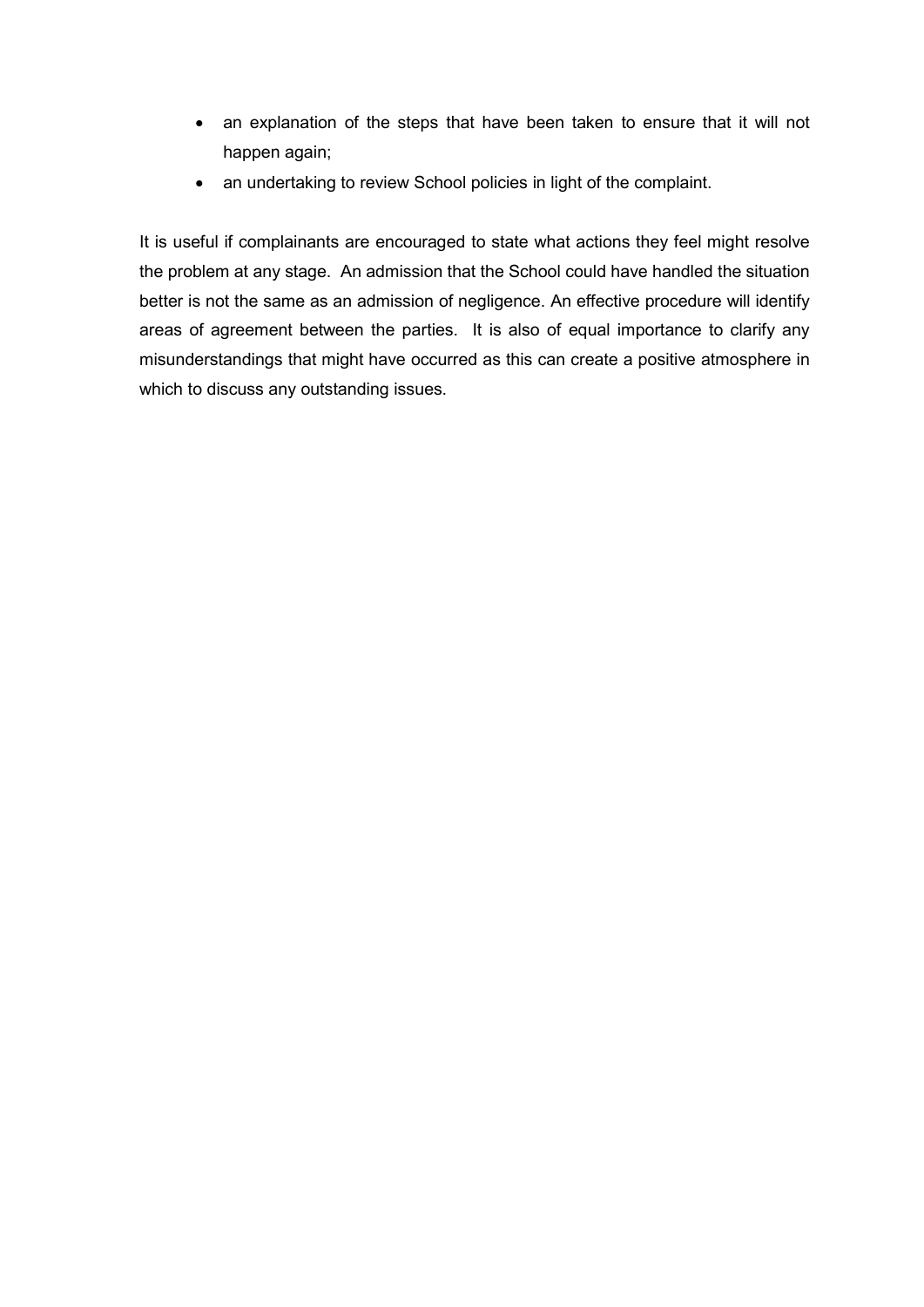- an explanation of the steps that have been taken to ensure that it will not happen again;
- an undertaking to review School policies in light of the complaint.

It is useful if complainants are encouraged to state what actions they feel might resolve the problem at any stage. An admission that the School could have handled the situation better is not the same as an admission of negligence. An effective procedure will identify areas of agreement between the parties. It is also of equal importance to clarify any misunderstandings that might have occurred as this can create a positive atmosphere in which to discuss any outstanding issues.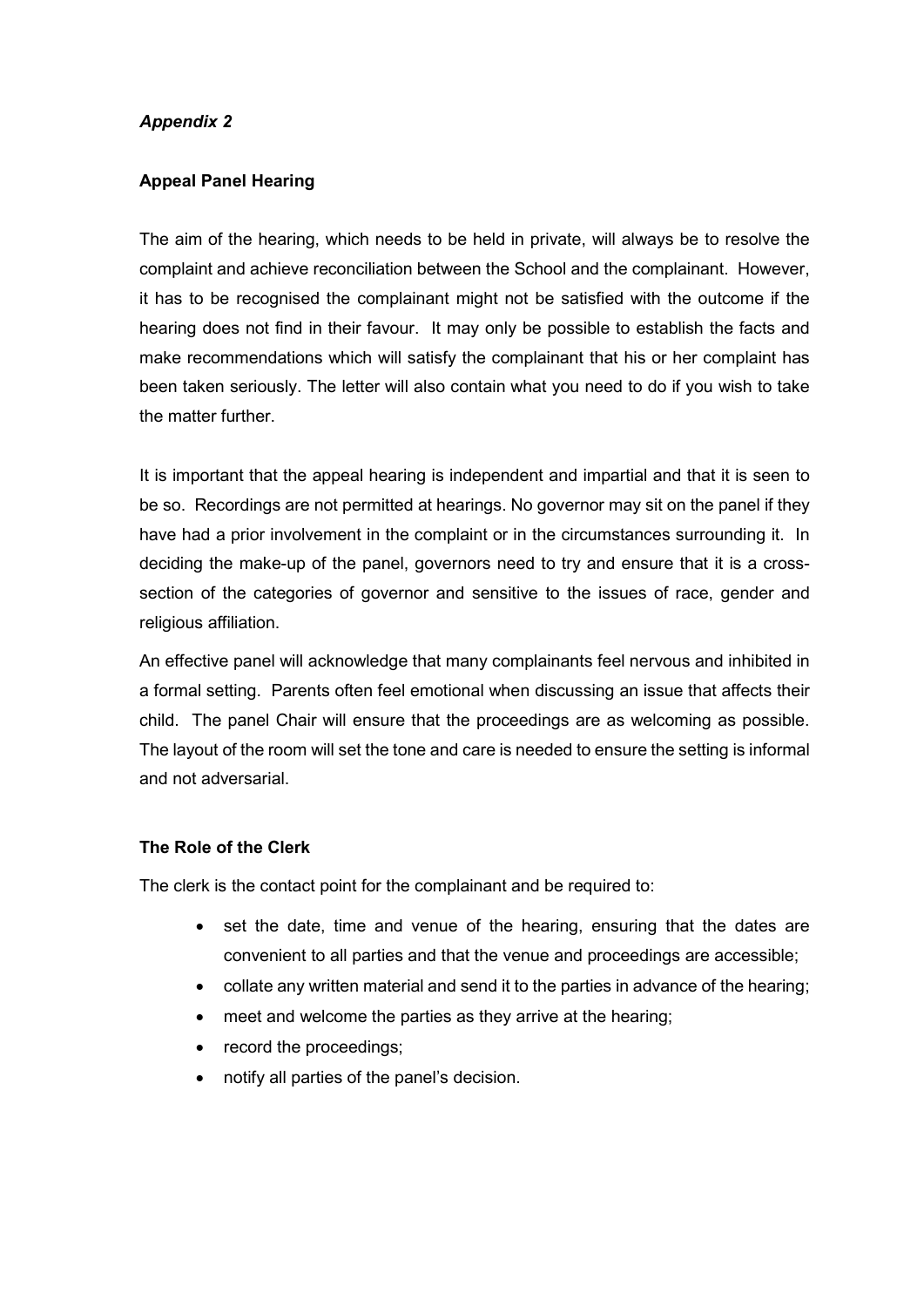# Appendix 2

#### Appeal Panel Hearing

The aim of the hearing, which needs to be held in private, will always be to resolve the complaint and achieve reconciliation between the School and the complainant. However, it has to be recognised the complainant might not be satisfied with the outcome if the hearing does not find in their favour. It may only be possible to establish the facts and make recommendations which will satisfy the complainant that his or her complaint has been taken seriously. The letter will also contain what you need to do if you wish to take the matter further.

It is important that the appeal hearing is independent and impartial and that it is seen to be so. Recordings are not permitted at hearings. No governor may sit on the panel if they have had a prior involvement in the complaint or in the circumstances surrounding it. In deciding the make-up of the panel, governors need to try and ensure that it is a crosssection of the categories of governor and sensitive to the issues of race, gender and religious affiliation.

An effective panel will acknowledge that many complainants feel nervous and inhibited in a formal setting. Parents often feel emotional when discussing an issue that affects their child. The panel Chair will ensure that the proceedings are as welcoming as possible. The layout of the room will set the tone and care is needed to ensure the setting is informal and not adversarial.

#### The Role of the Clerk

The clerk is the contact point for the complainant and be required to:

- set the date, time and venue of the hearing, ensuring that the dates are convenient to all parties and that the venue and proceedings are accessible;
- collate any written material and send it to the parties in advance of the hearing;
- meet and welcome the parties as they arrive at the hearing;
- record the proceedings;
- notify all parties of the panel's decision.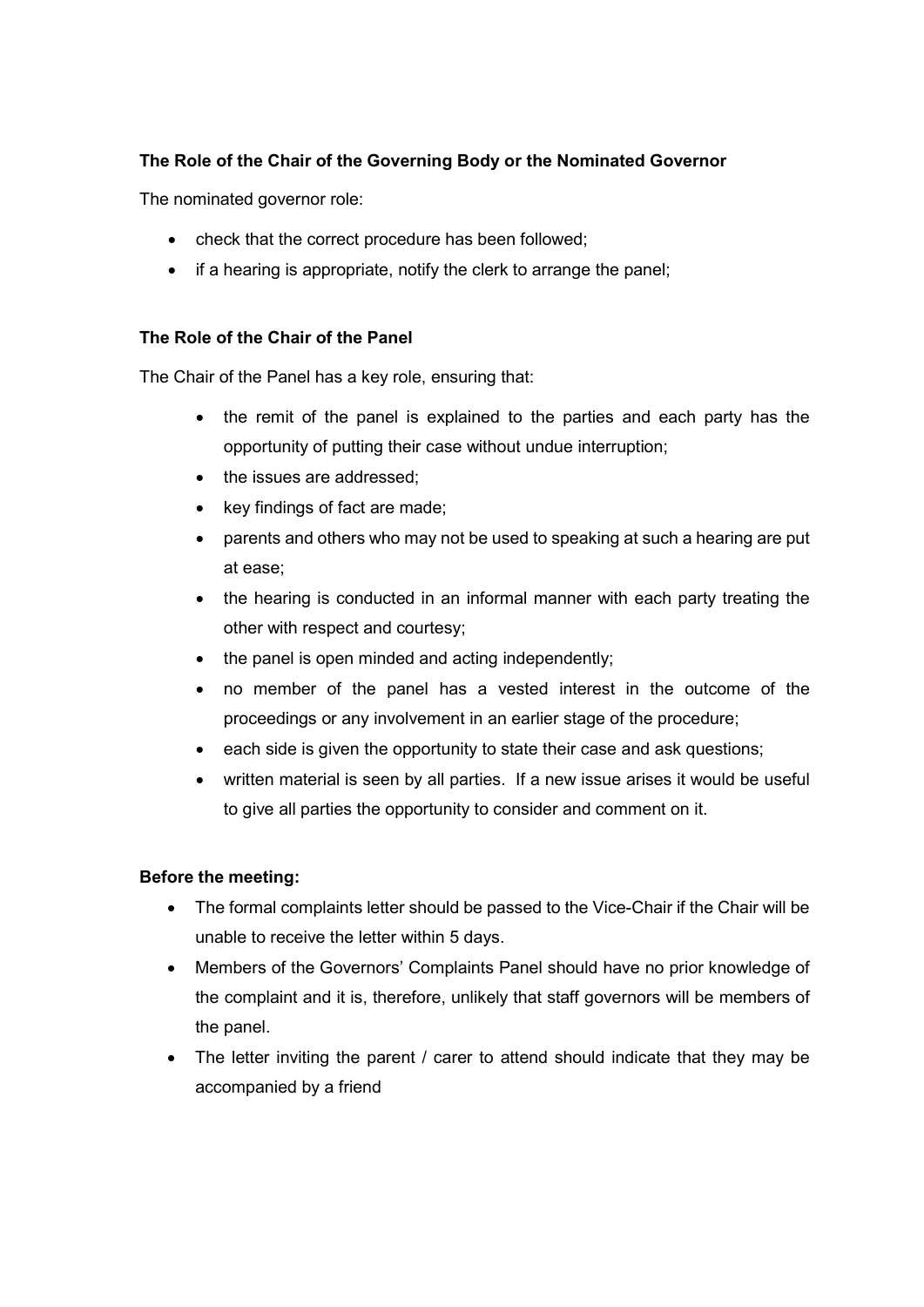# The Role of the Chair of the Governing Body or the Nominated Governor

The nominated governor role:

- check that the correct procedure has been followed;
- if a hearing is appropriate, notify the clerk to arrange the panel;

# The Role of the Chair of the Panel

The Chair of the Panel has a key role, ensuring that:

- the remit of the panel is explained to the parties and each party has the opportunity of putting their case without undue interruption;
- the issues are addressed;
- key findings of fact are made;
- parents and others who may not be used to speaking at such a hearing are put at ease;
- the hearing is conducted in an informal manner with each party treating the other with respect and courtesy;
- the panel is open minded and acting independently;
- no member of the panel has a vested interest in the outcome of the proceedings or any involvement in an earlier stage of the procedure;
- each side is given the opportunity to state their case and ask questions;
- written material is seen by all parties. If a new issue arises it would be useful to give all parties the opportunity to consider and comment on it.

# Before the meeting:

- The formal complaints letter should be passed to the Vice-Chair if the Chair will be unable to receive the letter within 5 days.
- Members of the Governors' Complaints Panel should have no prior knowledge of the complaint and it is, therefore, unlikely that staff governors will be members of the panel.
- The letter inviting the parent / carer to attend should indicate that they may be accompanied by a friend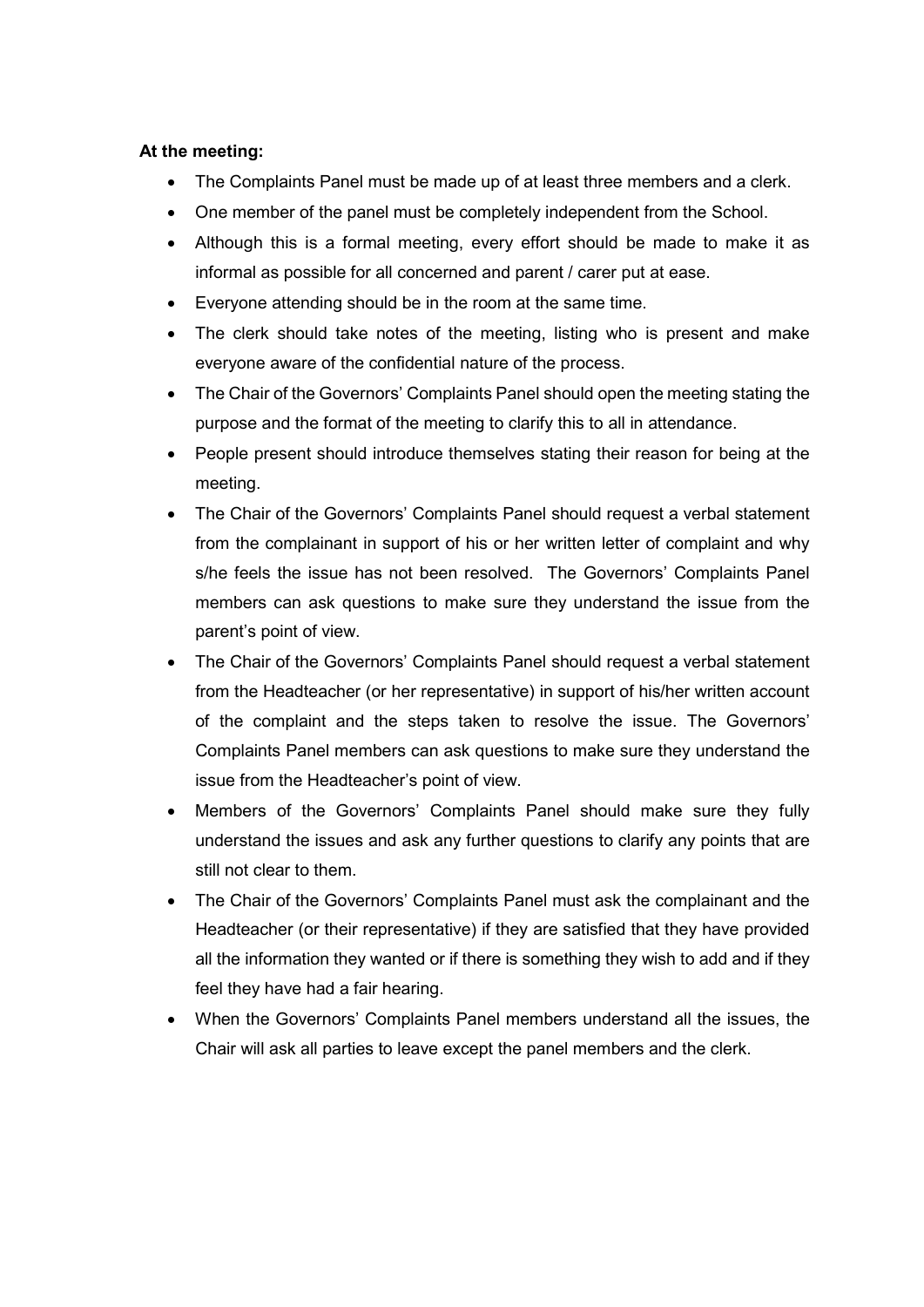#### At the meeting:

- The Complaints Panel must be made up of at least three members and a clerk.
- One member of the panel must be completely independent from the School.
- Although this is a formal meeting, every effort should be made to make it as informal as possible for all concerned and parent / carer put at ease.
- Everyone attending should be in the room at the same time.
- The clerk should take notes of the meeting, listing who is present and make everyone aware of the confidential nature of the process.
- The Chair of the Governors' Complaints Panel should open the meeting stating the purpose and the format of the meeting to clarify this to all in attendance.
- People present should introduce themselves stating their reason for being at the meeting.
- The Chair of the Governors' Complaints Panel should request a verbal statement from the complainant in support of his or her written letter of complaint and why s/he feels the issue has not been resolved. The Governors' Complaints Panel members can ask questions to make sure they understand the issue from the parent's point of view.
- The Chair of the Governors' Complaints Panel should request a verbal statement from the Headteacher (or her representative) in support of his/her written account of the complaint and the steps taken to resolve the issue. The Governors' Complaints Panel members can ask questions to make sure they understand the issue from the Headteacher's point of view.
- Members of the Governors' Complaints Panel should make sure they fully understand the issues and ask any further questions to clarify any points that are still not clear to them.
- The Chair of the Governors' Complaints Panel must ask the complainant and the Headteacher (or their representative) if they are satisfied that they have provided all the information they wanted or if there is something they wish to add and if they feel they have had a fair hearing.
- When the Governors' Complaints Panel members understand all the issues, the Chair will ask all parties to leave except the panel members and the clerk.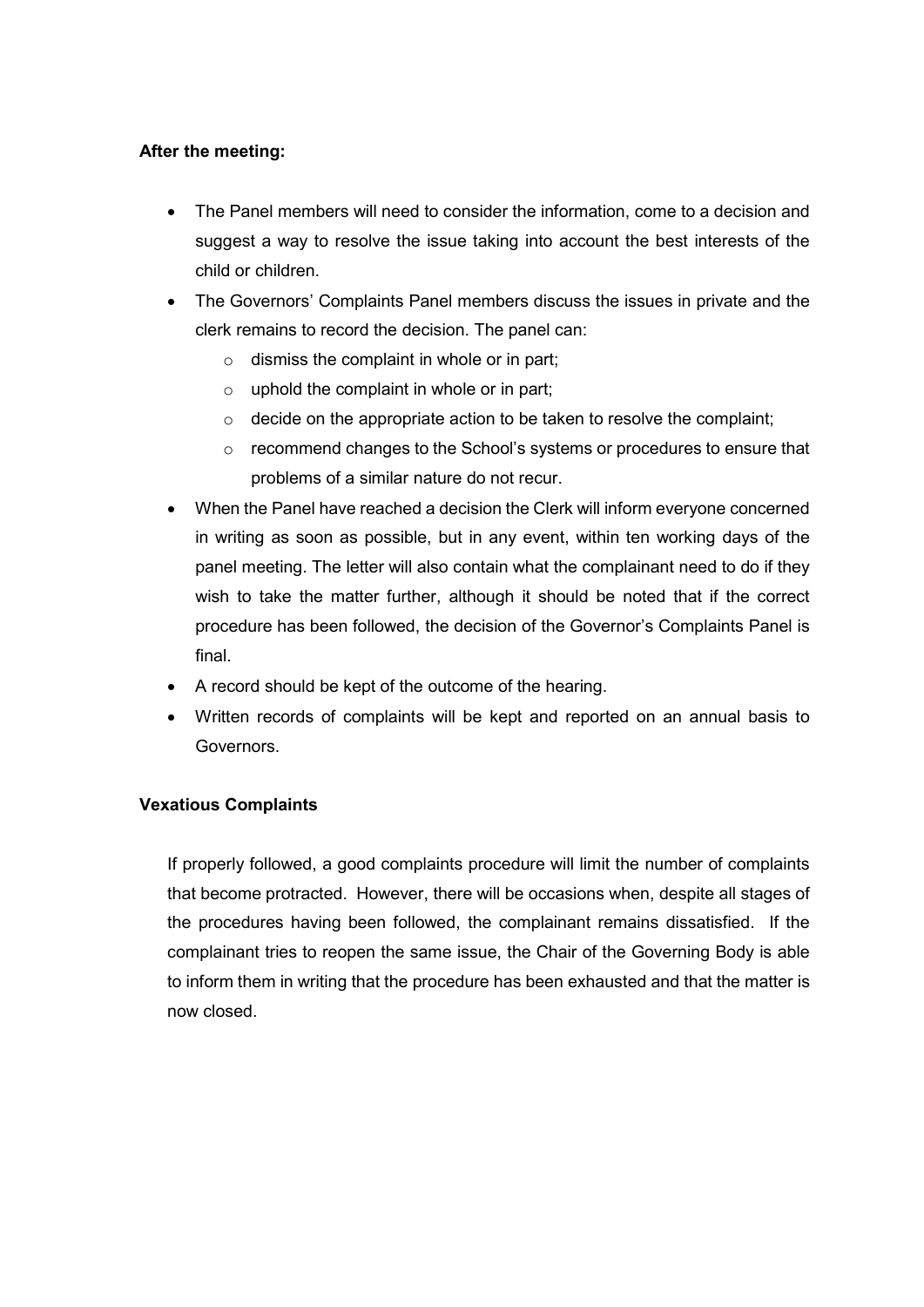# After the meeting:

- The Panel members will need to consider the information, come to a decision and suggest a way to resolve the issue taking into account the best interests of the child or children.
- The Governors' Complaints Panel members discuss the issues in private and the clerk remains to record the decision. The panel can:
	- $\circ$  dismiss the complaint in whole or in part;
	- $\circ$  uphold the complaint in whole or in part;
	- $\circ$  decide on the appropriate action to be taken to resolve the complaint;
	- o recommend changes to the School's systems or procedures to ensure that problems of a similar nature do not recur.
- When the Panel have reached a decision the Clerk will inform everyone concerned in writing as soon as possible, but in any event, within ten working days of the panel meeting. The letter will also contain what the complainant need to do if they wish to take the matter further, although it should be noted that if the correct procedure has been followed, the decision of the Governor's Complaints Panel is final.
- A record should be kept of the outcome of the hearing.
- Written records of complaints will be kept and reported on an annual basis to Governors.

# Vexatious Complaints

If properly followed, a good complaints procedure will limit the number of complaints that become protracted. However, there will be occasions when, despite all stages of the procedures having been followed, the complainant remains dissatisfied. If the complainant tries to reopen the same issue, the Chair of the Governing Body is able to inform them in writing that the procedure has been exhausted and that the matter is now closed.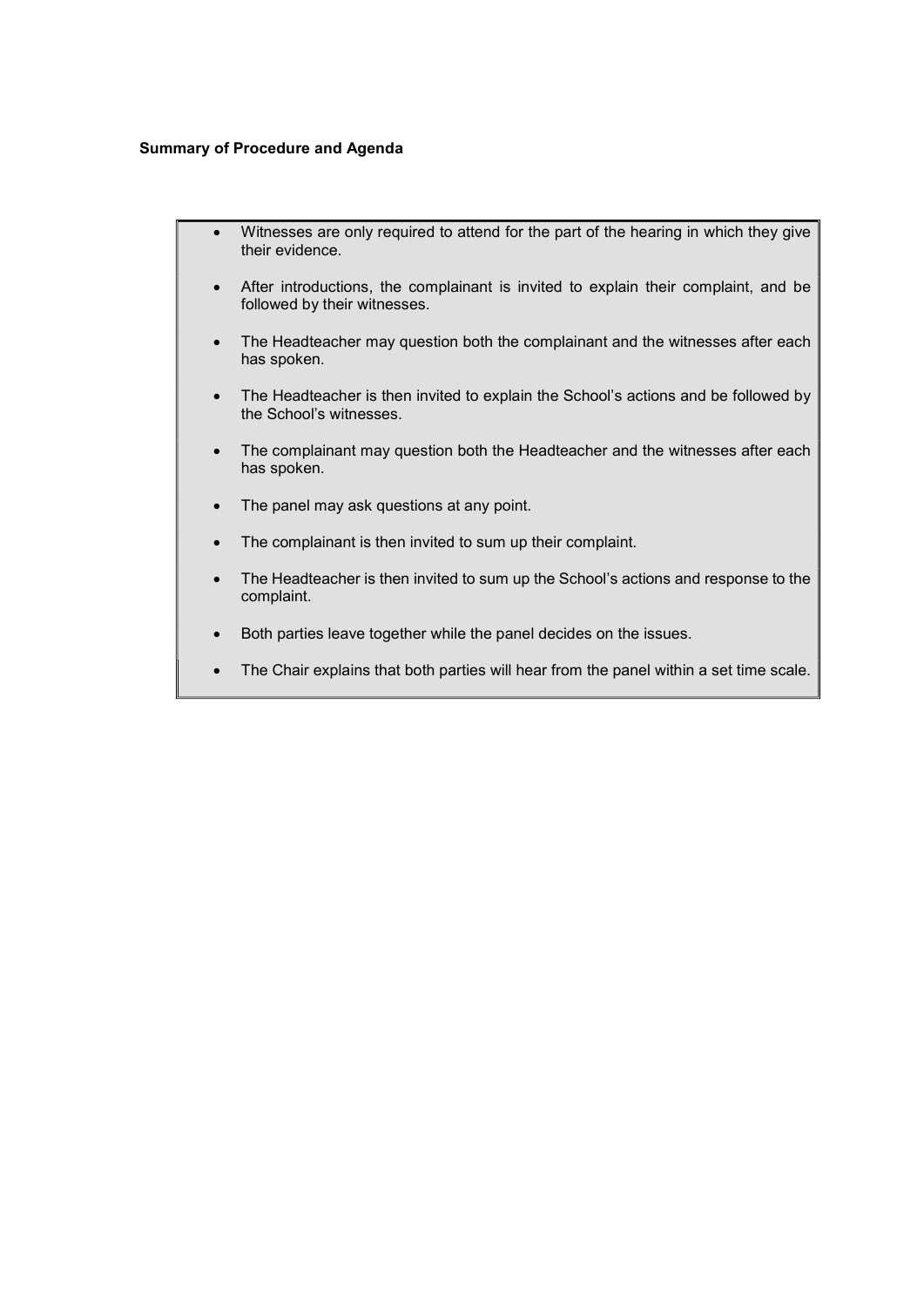#### Summary of Procedure and Agenda

- Witnesses are only required to attend for the part of the hearing in which they give their evidence.
	- After introductions, the complainant is invited to explain their complaint, and be followed by their witnesses.
	- The Headteacher may question both the complainant and the witnesses after each has spoken.
	- The Headteacher is then invited to explain the School's actions and be followed by the School's witnesses.
	- The complainant may question both the Headteacher and the witnesses after each has spoken.
	- The panel may ask questions at any point.
	- The complainant is then invited to sum up their complaint.
	- The Headteacher is then invited to sum up the School's actions and response to the complaint.
	- Both parties leave together while the panel decides on the issues.
	- The Chair explains that both parties will hear from the panel within a set time scale.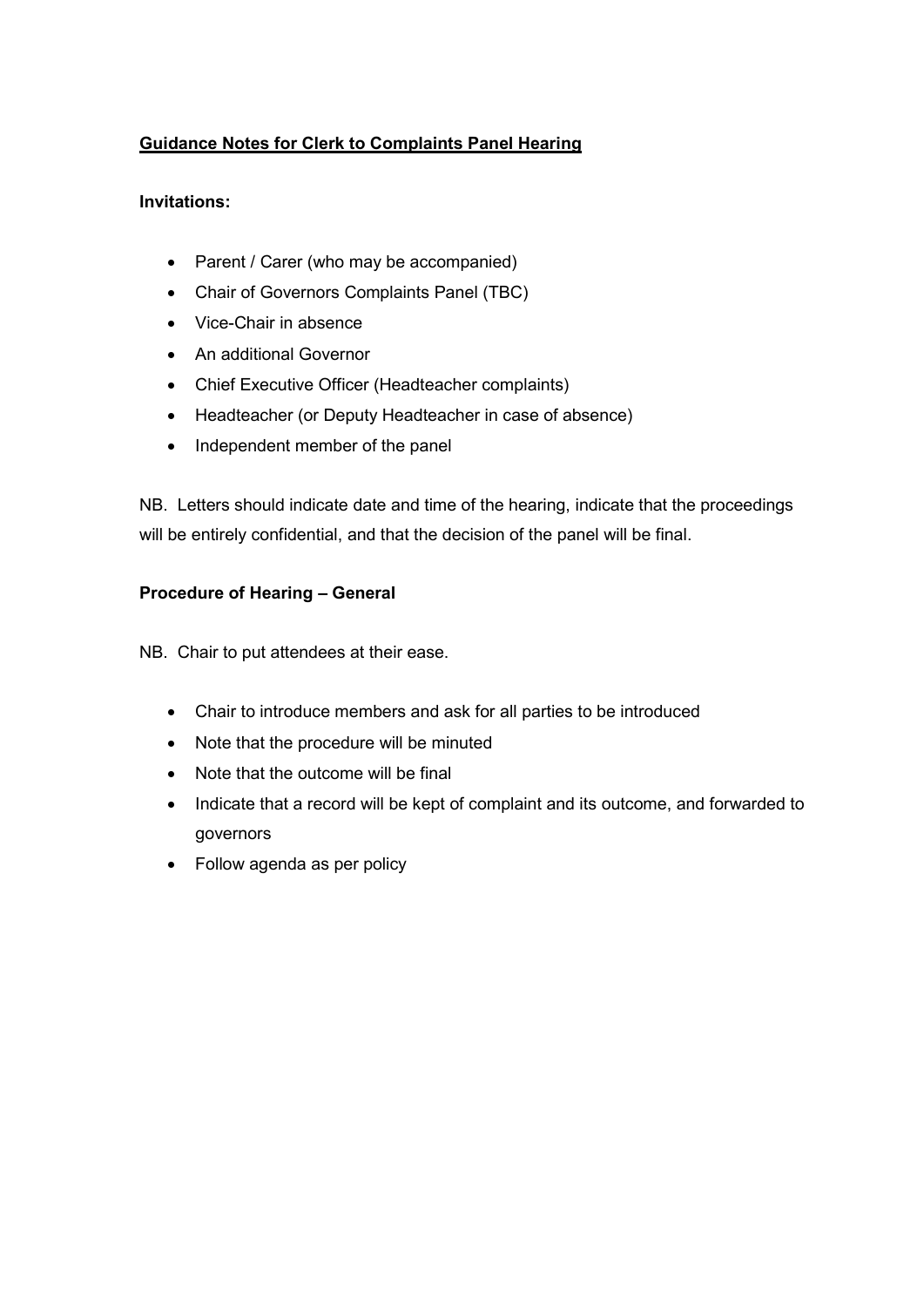# Guidance Notes for Clerk to Complaints Panel Hearing

#### Invitations:

- Parent / Carer (who may be accompanied)
- Chair of Governors Complaints Panel (TBC)
- Vice-Chair in absence
- An additional Governor
- Chief Executive Officer (Headteacher complaints)
- Headteacher (or Deputy Headteacher in case of absence)
- Independent member of the panel

NB. Letters should indicate date and time of the hearing, indicate that the proceedings will be entirely confidential, and that the decision of the panel will be final.

# Procedure of Hearing – General

NB. Chair to put attendees at their ease.

- Chair to introduce members and ask for all parties to be introduced
- Note that the procedure will be minuted
- Note that the outcome will be final
- Indicate that a record will be kept of complaint and its outcome, and forwarded to governors
- Follow agenda as per policy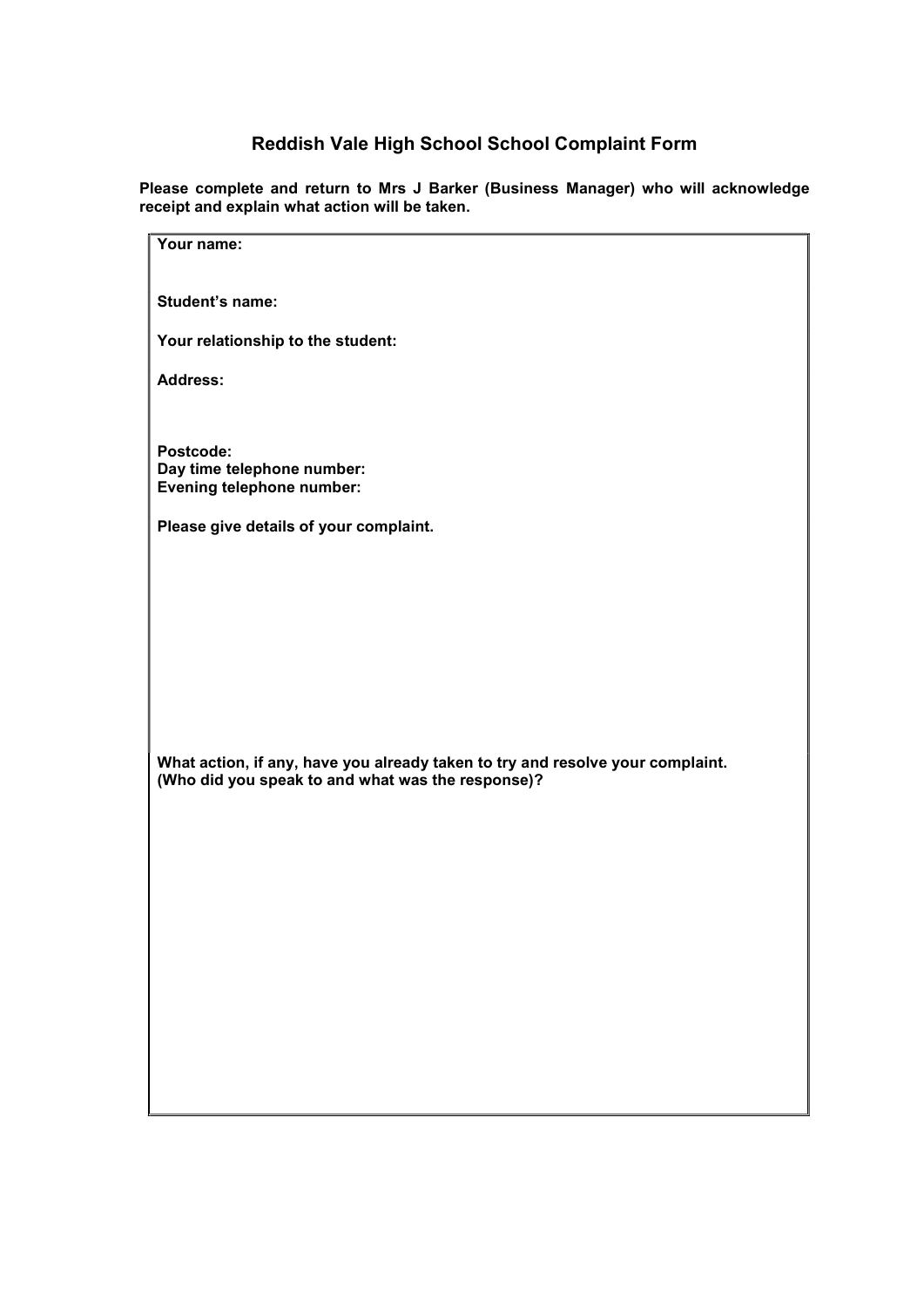# Reddish Vale High School School Complaint Form

Please complete and return to Mrs J Barker (Business Manager) who will acknowledge receipt and explain what action will be taken.

| Your name:                                                                                                                          |
|-------------------------------------------------------------------------------------------------------------------------------------|
| Student's name:                                                                                                                     |
|                                                                                                                                     |
| Your relationship to the student:                                                                                                   |
| <b>Address:</b>                                                                                                                     |
|                                                                                                                                     |
| Postcode:                                                                                                                           |
| Day time telephone number:<br><b>Evening telephone number:</b>                                                                      |
|                                                                                                                                     |
| Please give details of your complaint.                                                                                              |
|                                                                                                                                     |
|                                                                                                                                     |
|                                                                                                                                     |
|                                                                                                                                     |
|                                                                                                                                     |
|                                                                                                                                     |
| What action, if any, have you already taken to try and resolve your complaint.<br>(Who did you speak to and what was the response)? |
|                                                                                                                                     |
|                                                                                                                                     |
|                                                                                                                                     |
|                                                                                                                                     |
|                                                                                                                                     |
|                                                                                                                                     |
|                                                                                                                                     |
|                                                                                                                                     |
|                                                                                                                                     |
|                                                                                                                                     |
|                                                                                                                                     |